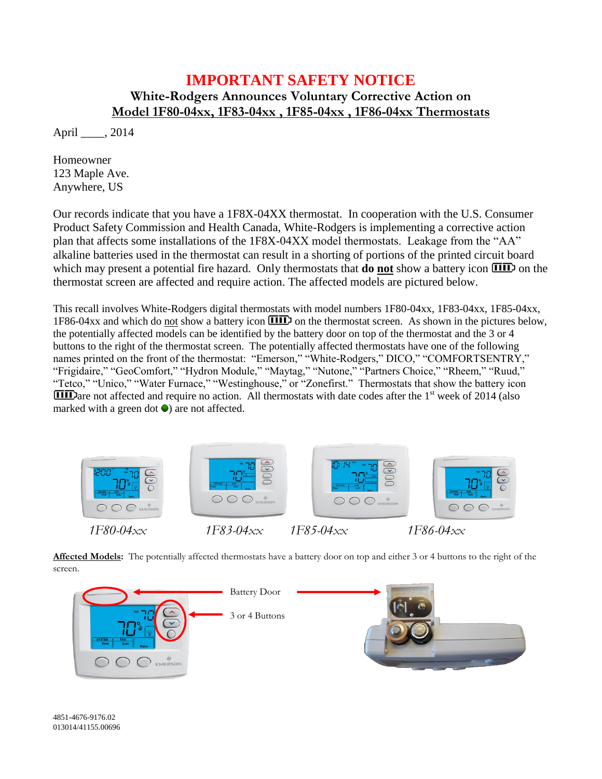## **IMPORTANT SAFETY NOTICE**

## **White-Rodgers Announces Voluntary Corrective Action on Model 1F80-04xx, 1F83-04xx , 1F85-04xx , 1F86-04xx Thermostats**

April \_\_\_\_, 2014

Homeowner 123 Maple Ave. Anywhere, US

Our records indicate that you have a 1F8X-04XX thermostat. In cooperation with the U.S. Consumer Product Safety Commission and Health Canada, White-Rodgers is implementing a corrective action plan that affects some installations of the 1F8X-04XX model thermostats. Leakage from the "AA" alkaline batteries used in the thermostat can result in a shorting of portions of the printed circuit board which may present a potential fire hazard. Only thermostats that **do not** show a battery icon  $\overline{III}$  on the thermostat screen are affected and require action. The affected models are pictured below.

This recall involves White-Rodgers digital thermostats with model numbers 1F80-04xx, 1F83-04xx, 1F85-04xx, 1F86-04xx and which do not show a battery icon  $\overline{III}$  on the thermostat screen. As shown in the pictures below, the potentially affected models can be identified by the battery door on top of the thermostat and the 3 or 4 buttons to the right of the thermostat screen. The potentially affected thermostats have one of the following names printed on the front of the thermostat: "Emerson," "White-Rodgers," DICO," "COMFORTSENTRY," "Frigidaire," "GeoComfort," "Hydron Module," "Maytag," "Nutone," "Partners Choice," "Rheem," "Ruud," "Tetco," "Unico," "Water Furnace," "Westinghouse," or "Zonefirst." Thermostats that show the battery icon  $\overline{III}$  are not affected and require no action. All thermostats with date codes after the 1<sup>st</sup> week of 2014 (also marked with a green dot  $\bullet$ ) are not affected.



**Affected Models:** The potentially affected thermostats have a battery door on top and either 3 or 4 buttons to the right of the screen.